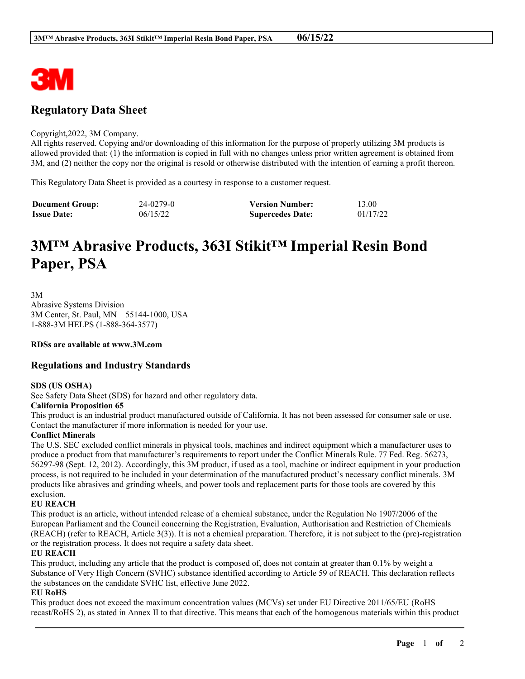

# **Regulatory Data Sheet**

#### Copyright,2022, 3M Company.

All rights reserved. Copying and/or downloading of this information for the purpose of properly utilizing 3M products is allowed provided that: (1) the information is copied in full with no changes unless prior written agreement is obtained from 3M, and (2) neither the copy nor the original is resold or otherwise distributed with the intention of earning a profit thereon.

This Regulatory Data Sheet is provided as a courtesy in response to a customer request.

| <b>Document Group:</b> | 24-0279-0 | <b>Version Number:</b>  | 13.00    |
|------------------------|-----------|-------------------------|----------|
| <b>Issue Date:</b>     | 06/15/22  | <b>Supercedes Date:</b> | 01/17/22 |

# **3M™ Abrasive Products, 363I Stikit™ Imperial Resin Bond Paper, PSA**

3M

Abrasive Systems Division 3M Center, St. Paul, MN 55144-1000, USA 1-888-3M HELPS (1-888-364-3577)

**RDSs are available at www.3M.com**

# **Regulations and Industry Standards**

# **SDS (US OSHA)**

See Safety Data Sheet (SDS) for hazard and other regulatory data.

# **California Proposition 65**

This product is an industrial product manufactured outside of California. It has not been assessed for consumer sale or use. Contact the manufacturer if more information is needed for your use.

# **Conflict Minerals**

The U.S. SEC excluded conflict minerals in physical tools, machines and indirect equipment which a manufacturer uses to produce a product from that manufacturer's requirements to report under the Conflict Minerals Rule. 77 Fed. Reg. 56273, 56297-98 (Sept. 12, 2012). Accordingly, this 3M product, if used as a tool, machine or indirect equipment in your production process, is not required to be included in your determination of the manufactured product's necessary conflict minerals. 3M products like abrasives and grinding wheels, and power tools and replacement parts for those tools are covered by this exclusion.

# **EU REACH**

This product is an article, without intended release of a chemical substance, under the Regulation No 1907/2006 of the European Parliament and the Council concerning the Registration, Evaluation, Authorisation and Restriction of Chemicals (REACH) (refer to REACH, Article 3(3)). It is not a chemical preparation. Therefore, it is not subject to the (pre)-registration or the registration process. It does not require a safety data sheet.

# **EU REACH**

This product, including any article that the product is composed of, does not contain at greater than 0.1% by weight a Substance of Very High Concern (SVHC) substance identified according to Article 59 of REACH. This declaration reflects the substances on the candidate SVHC list, effective June 2022.

# **EU RoHS**

This product does not exceed the maximum concentration values (MCVs) set under EU Directive 2011/65/EU (RoHS recast/RoHS 2), as stated in Annex II to that directive. This means that each of the homogenous materials within this product

\_\_\_\_\_\_\_\_\_\_\_\_\_\_\_\_\_\_\_\_\_\_\_\_\_\_\_\_\_\_\_\_\_\_\_\_\_\_\_\_\_\_\_\_\_\_\_\_\_\_\_\_\_\_\_\_\_\_\_\_\_\_\_\_\_\_\_\_\_\_\_\_\_\_\_\_\_\_\_\_\_\_\_\_\_\_\_\_\_\_